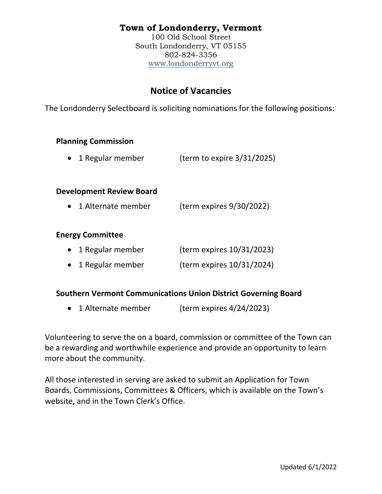# **Town of Londonderry, Vermont**

100 Old School Street South Londonderry, VT 05155 802-824-3356 [www.londonderryvt.org](http://www.londonderryvt.org/)

# **Notice of Vacancies**

The Londonderry Selectboard is soliciting nominations for the following positions:

### **Planning Commission**

• 1 Regular member (term to expire 3/31/2025)

### **Development Review Board**

• 1 Alternate member (term expires 9/30/2022)

### **Energy Committee**

| • 1 Regular member | (term expires 10/31/2023) |
|--------------------|---------------------------|
| • 1 Regular member | (term expires 10/31/2024) |

### **Southern Vermont Communications Union District Governing Board**

• 1 Alternate member (term expires 4/24/2023)

Volunteering to serve the on a board, commission or committee of the Town can be a rewarding and worthwhile experience and provide an opportunity to learn more about the community.

All those interested in serving are asked to submit an Application for Town Boards, Commissions, Committees & Officers, which is available on the Town's website, and in the Town Clerk's Office.